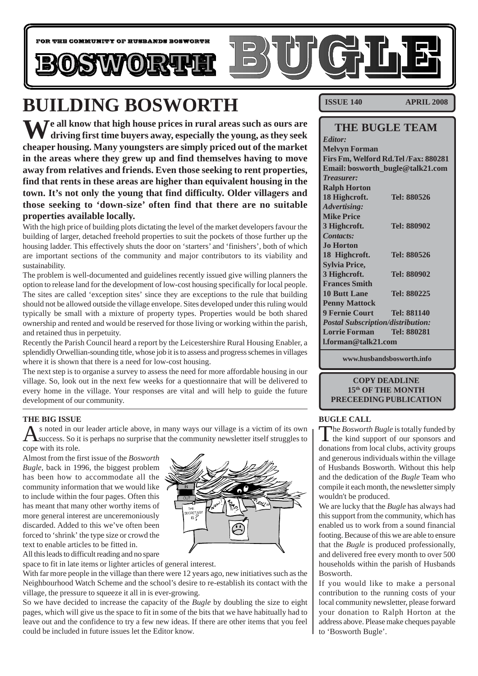

# **BUILDING BOSWORTH**

**N**  $\sqrt{ }$  e all know that high house prices in rural areas such as ours are **driving first time buyers away, especially the young, as they seek cheaper housing. Many youngsters are simply priced out of the market in the areas where they grew up and find themselves having to move away from relatives and friends. Even those seeking to rent properties, find that rents in these areas are higher than equivalent housing in the town. It's not only the young that find difficulty. Older villagers and those seeking to 'down-size' often find that there are no suitable properties available locally.**

With the high price of building plots dictating the level of the market developers favour the building of larger, detached freehold properties to suit the pockets of those further up the housing ladder. This effectively shuts the door on 'starters' and 'finishers', both of which are important sections of the community and major contributors to its viability and sustainability.

The problem is well-documented and guidelines recently issued give willing planners the option to release land for the development of low-cost housing specifically for local people. The sites are called 'exception sites' since they are exceptions to the rule that building should not be allowed outside the village envelope. Sites developed under this ruling would typically be small with a mixture of property types. Properties would be both shared ownership and rented and would be reserved for those living or working within the parish, and retained thus in perpetuity.

Recently the Parish Council heard a report by the Leicestershire Rural Housing Enabler, a splendidly Orwellian-sounding title, whose job it is to assess and progress schemes in villages where it is shown that there is a need for low-cost housing.

The next step is to organise a survey to assess the need for more affordable housing in our village. So, look out in the next few weeks for a questionnaire that will be delivered to every home in the village. Your responses are vital and will help to guide the future development of our community.

#### **THE BIG ISSUE**

s noted in our leader article above, in many ways our village is a victim of its own success. So it is perhaps no surprise that the community newsletter itself struggles to cope with its role.

Almost from the first issue of the *Bosworth Bugle*, back in 1996, the biggest problem has been how to accommodate all the community information that we would like to include within the four pages. Often this has meant that many other worthy items of more general interest are unceremoniously discarded. Added to this we've often been forced to 'shrink' the type size or crowd the text to enable articles to be fitted in.



All this leads to difficult reading and no spare

space to fit in late items or lighter articles of general interest.

With far more people in the village than there were 12 years ago, new initiatives such as the Neighbourhood Watch Scheme and the school's desire to re-establish its contact with the village, the pressure to squeeze it all in is ever-growing.

So we have decided to increase the capacity of the *Bugle* by doubling the size to eight pages, which will give us the space to fit in some of the bits that we have habitually had to leave out and the confidence to try a few new ideas. If there are other items that you feel could be included in future issues let the Editor know.

**ISSUE 140 APRIL 2008**

# **THE BUGLE TEAM**

| <b>Editor:</b>                           |                    |
|------------------------------------------|--------------------|
| <b>Melvyn Forman</b>                     |                    |
| Firs Fm, Welford Rd.Tel/Fax: 880281      |                    |
| Email: bosworth_bugle@talk21.com         |                    |
| <b>Treasurer:</b>                        |                    |
| <b>Ralph Horton</b>                      |                    |
| 18 Highcroft.                            | Tel: 880526        |
| <b>Advertising:</b>                      |                    |
| <b>Mike Price</b>                        |                    |
| 3 Highcroft.                             | Tel: 880902        |
| <b>Contacts:</b>                         |                    |
| Jo Horton                                |                    |
| 18 Highcroft.                            | Tel: 880526        |
| <b>Sylvia Price,</b>                     |                    |
| 3 Highcroft.                             | Tel: 880902        |
| <b>Frances Smith</b>                     |                    |
| <b>10 Butt Lane</b>                      | Tel: 880225        |
| <b>Penny Mattock</b>                     |                    |
| <b>9 Fernie Court</b>                    | <b>Tel: 881140</b> |
| <b>Postal Subscription/distribution:</b> |                    |
| <b>Lorrie Forman</b>                     | Tel: 880281        |
| l.forman@talk21.com                      |                    |

**www.husbandsbosworth.info**

#### **COPY DEADLINE 15th OF THE MONTH PRECEEDING PUBLICATION**

#### **BUGLE CALL**

The *Bosworth Bugle* is totally funded by the kind support of our sponsors and donations from local clubs, activity groups and generous individuals within the village of Husbands Bosworth. Without this help and the dedication of the *Bugle* Team who compile it each month, the newsletter simply wouldn't be produced.

We are lucky that the *Bugle* has always had this support from the community, which has enabled us to work from a sound financial footing. Because of this we are able to ensure that the *Bugle* is produced professionally, and delivered free every month to over 500 households within the parish of Husbands Bosworth.

If you would like to make a personal contribution to the running costs of your local community newsletter, please forward your donation to Ralph Horton at the address above. Please make cheques payable to 'Bosworth Bugle'.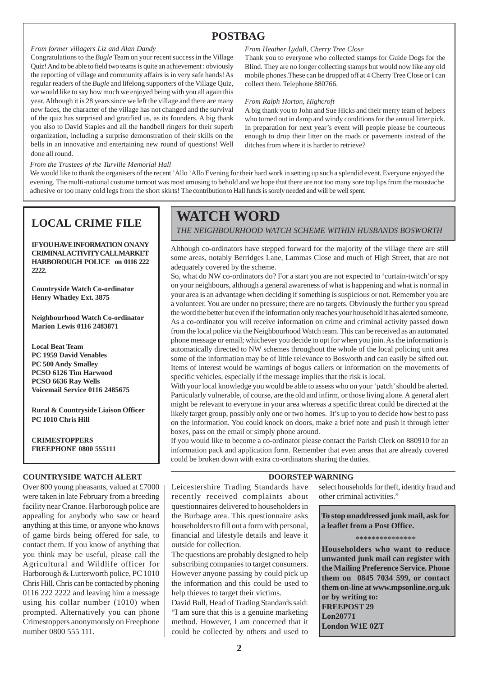# **POSTBAG**

#### *From former villagers Liz and Alan Dandy*

Congratulations to the *Bugle* Team on your recent success in the Village Quiz! And to be able to field two teams is quite an achievement : obviously the reporting of village and community affairs is in very safe hands! As regular readers of the *Bugle* and lifelong supporters of the Village Quiz, we would like to say how much we enjoyed being with you all again this year. Although it is 28 years since we left the village and there are many new faces, the character of the village has not changed and the survival of the quiz has surprised and gratified us, as its founders. A big thank you also to David Staples and all the handbell ringers for their superb organization, including a surprise demonstration of their skills on the bells in an innovative and entertaining new round of questions! Well done all round.

#### *From the Trustees of the Turville Memorial Hall*

*From Heather Lydall, Cherry Tree Close*

Thank you to everyone who collected stamps for Guide Dogs for the Blind. They are no longer collecting stamps but would now like any old mobile phones.These can be dropped off at 4 Cherry Tree Close or I can collect them. Telephone 880766.

#### *From Ralph Horton, Highcroft*

A big thank you to John and Sue Hicks and their merry team of helpers who turned out in damp and windy conditions for the annual litter pick. In preparation for next year's event will people please be courteous enough to drop their litter on the roads or pavements instead of the ditches from where it is harder to retrieve?

We would like to thank the organisers of the recent 'Allo 'Allo Evening for their hard work in setting up such a splendid event. Everyone enjoyed the evening. The multi-national costume turnout was most amusing to behold and we hope that there are not too many sore top lips from the moustache adhesive or too many cold legs from the short skirts! The contribution to Hall funds is sorely needed and will be well spent.

# **LOCAL CRIME FILE**

**IFVOUHAVE INFORMATION ON ANY CRIMINAL ACTIVITY CALL MARKET HARBOROUGH POLICE on 0116 222 2222.**

**Countryside Watch Co-ordinator Henry Whatley Ext. 3875**

**Neighbourhood Watch Co-ordinator Marion Lewis 0116 2483871**

**Local Beat Team PC 1959 David Venables PC 500 Andy Smalley PCSO 6126 Tim Harwood PCSO 6636 Ray Wells Voicemail Service 0116 2485675**

**Rural & Countryside Liaison Officer PC 1010 Chris Hill**

#### **CRIMESTOPPERS FREEPHONE 0800 555111**

#### **COUNTRYSIDE WATCH ALERT**

Over 800 young pheasants, valued at £7000 were taken in late February from a breeding facility near Cranoe. Harborough police are appealing for anybody who saw or heard anything at this time, or anyone who knows of game birds being offered for sale, to contact them. If you know of anything that you think may be useful, please call the Agricultural and Wildlife officer for Harborough & Lutterworth police, PC 1010 Chris Hill. Chris can be contacted by phoning 0116 222 2222 and leaving him a message using his collar number (1010) when prompted. Alternatively you can phone Crimestoppers anonymously on Freephone number 0800 555 111.

# **WATCH WORD**

*THE NEIGHBOURHOOD WATCH SCHEME WITHIN HUSBANDS BOSWORTH*

Although co-ordinators have stepped forward for the majority of the village there are still some areas, notably Berridges Lane, Lammas Close and much of High Street, that are not adequately covered by the scheme.

So, what do NW co-ordinators do? For a start you are not expected to 'curtain-twitch'or spy on your neighbours, although a general awareness of what is happening and what is normal in your area is an advantage when deciding if something is suspicious or not. Remember you are a volunteer. You are under no pressure; there are no targets. Obviously the further you spread the word the better but even if the information only reaches your household it has alerted someone. As a co-ordinator you will receive information on crime and criminal activity passed down from the local police via the Neighbourhood Watch team. This can be received as an automated phone message or email; whichever you decide to opt for when you join. As the information is automatically directed to NW schemes throughout the whole of the local policing unit area some of the information may be of little relevance to Bosworth and can easily be sifted out. Items of interest would be warnings of bogus callers or information on the movements of specific vehicles, especially if the message implies that the risk is local.

With your local knowledge you would be able to assess who on your 'patch' should be alerted. Particularly vulnerable, of course, are the old and infirm, or those living alone. A general alert might be relevant to everyone in your area whereas a specific threat could be directed at the likely target group, possibly only one or two homes. It's up to you to decide how best to pass on the information. You could knock on doors, make a brief note and push it through letter boxes, pass on the email or simply phone around.

If you would like to become a co-ordinator please contact the Parish Clerk on 880910 for an information pack and application form. Remember that even areas that are already covered could be broken down with extra co-ordinators sharing the duties.

#### **DOORSTEP WARNING**

Leicestershire Trading Standards have recently received complaints about questionnaires delivered to householders in the Burbage area. This questionnaire asks householders to fill out a form with personal, financial and lifestyle details and leave it outside for collection.

The questions are probably designed to help subscribing companies to target consumers. However anyone passing by could pick up the information and this could be used to help thieves to target their victims.

David Bull, Head of Trading Standards said: "I am sure that this is a genuine marketing method. However, I am concerned that it could be collected by others and used to select households for theft, identity fraud and other criminal activities."

**To stop unaddressed junk mail, ask for a leaflet from a Post Office.**

\*\*\*\*\*\*\*\*\*\*\*\*\*\*\*

**Householders who want to reduce unwanted junk mail can register with the Mailing Preference Service. Phone them on 0845 7034 599, or contact them on-line at www.mpsonline.org.uk or by writing to: FREEPOST 29 Lon20771 London W1E 0ZT**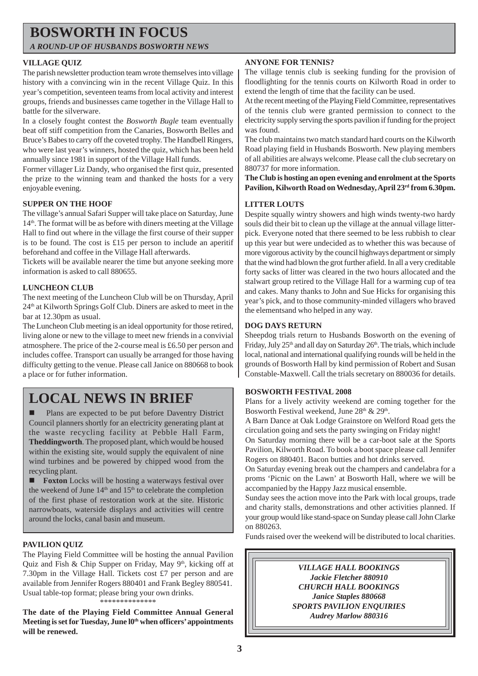# **BOSWORTH IN FOCUS**

*A ROUND-UP OF HUSBANDS BOSWORTH NEWS*

# **VILLAGE QUIZ**

The parish newsletter production team wrote themselves into village history with a convincing win in the recent Village Quiz. In this year's competition, seventeen teams from local activity and interest groups, friends and businesses came together in the Village Hall to battle for the silverware.

In a closely fought contest the *Bosworth Bugle* team eventually beat off stiff competition from the Canaries, Bosworth Belles and Bruce's Babes to carry off the coveted trophy. The Handbell Ringers, who were last year's winners, hosted the quiz, which has been held annually since 1981 in support of the Village Hall funds.

Former villager Liz Dandy, who organised the first quiz, presented the prize to the winning team and thanked the hosts for a very enjoyable evening.

# **SUPPER ON THE HOOF**

The village's annual Safari Supper will take place on Saturday, June  $14<sup>th</sup>$ . The format will be as before with diners meeting at the Village Hall to find out where in the village the first course of their supper is to be found. The cost is £15 per person to include an aperitif beforehand and coffee in the Village Hall afterwards.

Tickets will be available nearer the time but anyone seeking more information is asked to call 880655.

# **LUNCHEON CLUB**

The next meeting of the Luncheon Club will be on Thursday, April 24th at Kilworth Springs Golf Club. Diners are asked to meet in the bar at 12.30pm as usual.

The Luncheon Club meeting is an ideal opportunity for those retired, living alone or new to the village to meet new friends in a convivial atmosphere. The price of the 2-course meal is £6.50 per person and includes coffee. Transport can usually be arranged for those having difficulty getting to the venue. Please call Janice on 880668 to book a place or for futher information.

# **LOCAL NEWS IN BRIEF** BOSWORTH FESTIVAL 2008

! Plans are expected to be put before Daventry District Council planners shortly for an electricity generating plant at the waste recycling facility at Pebble Hall Farm, **Theddingworth**. The proposed plant, which would be housed within the existing site, would supply the equivalent of nine wind turbines and be powered by chipped wood from the recycling plant.

**Foxton** Locks will be hosting a waterways festival over the weekend of June 14<sup>th</sup> and 15<sup>th</sup> to celebrate the completion of the first phase of restoration work at the site. Historic narrowboats, waterside displays and activities will centre around the locks, canal basin and museum.

# **PAVILION QUIZ**

The Playing Field Committee will be hosting the annual Pavilion Quiz and Fish & Chip Supper on Friday, May  $9<sup>th</sup>$ , kicking off at 7.30pm in the Village Hall. Tickets cost £7 per person and are available from Jennifer Rogers 880401 and Frank Begley 880541. Usual table-top format; please bring your own drinks. \*\*\*\*\*\*\*\*\*\*\*\*\*

**The date of the Playing Field Committee Annual General Meeting is set for Tuesday, June l0th when officers' appointments will be renewed.**

### **ANYONE FOR TENNIS?**

The village tennis club is seeking funding for the provision of floodlighting for the tennis courts on Kilworth Road in order to extend the length of time that the facility can be used.

At the recent meeting of the Playing Field Committee, representatives of the tennis club were granted permission to connect to the electricity supply serving the sports pavilion if funding for the project was found.

The club maintains two match standard hard courts on the Kilworth Road playing field in Husbands Bosworth. New playing members of all abilities are always welcome. Please call the club secretary on 880737 for more information.

**The Club is hosting an open evening and enrolment at the Sports Pavilion, Kilworth Road on Wednesday, April 23rd from 6.30pm.**

### **LITTER LOUTS**

Despite squally wintry showers and high winds twenty-two hardy souls did their bit to clean up the village at the annual village litterpick. Everyone noted that there seemed to be less rubbish to clear up this year but were undecided as to whether this was because of more vigorous activity by the council highways department or simply that the wind had blown the grot further afield. In all a very creditable forty sacks of litter was cleared in the two hours allocated and the stalwart group retired to the Village Hall for a warming cup of tea and cakes. Many thanks to John and Sue Hicks for organising this year's pick, and to those community-minded villagers who braved the elementsand who helped in any way.

### **DOG DAYS RETURN**

Sheepdog trials return to Husbands Bosworth on the evening of Friday, July  $25<sup>th</sup>$  and all day on Saturday  $26<sup>th</sup>$ . The trials, which include local, national and international qualifying rounds will be held in the grounds of Bosworth Hall by kind permission of Robert and Susan Constable-Maxwell. Call the trials secretary on 880036 for details.

Plans for a lively activity weekend are coming together for the Bosworth Festival weekend, June  $28<sup>th</sup>$  &  $29<sup>th</sup>$ .

A Barn Dance at Oak Lodge Grainstore on Welford Road gets the circulation going and sets the party swinging on Friday night!

On Saturday morning there will be a car-boot sale at the Sports Pavilion, Kilworth Road. To book a boot space please call Jennifer Rogers on 880401. Bacon butties and hot drinks served.

On Saturday evening break out the champers and candelabra for a proms 'Picnic on the Lawn' at Bosworth Hall, where we will be accompanied by the Happy Jazz musical ensemble.

Sunday sees the action move into the Park with local groups, trade and charity stalls, demonstrations and other activities planned. If your group would like stand-space on Sunday please call John Clarke on 880263.

Funds raised over the weekend will be distributed to local charities.

# *VILLAGE HALL BOOKINGS Jackie Fletcher 880910 CHURCH HALL BOOKINGS Janice Staples 880668 SPORTS PAVILION ENQUIRIES Audrey Marlow 880316*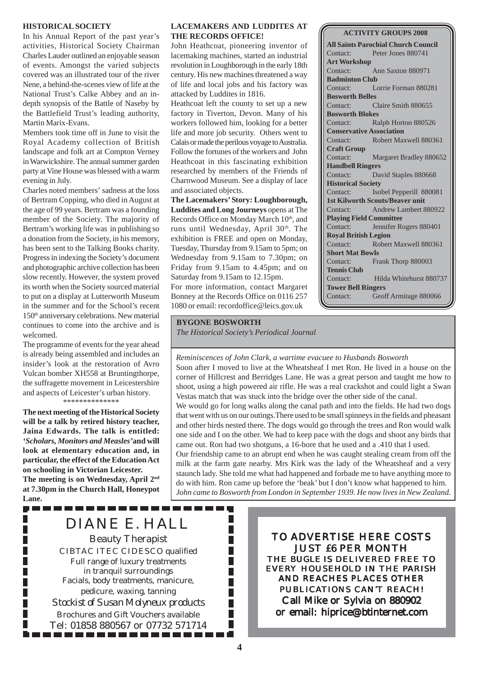#### **HISTORICAL SOCIETY**

In his Annual Report of the past year's activities, Historical Society Chairman Charles Lauder outlined an enjoyable season of events. Amongst the varied subjects covered was an illustrated tour of the river Nene, a behind-the-scenes view of life at the National Trust's Calke Abbey and an indepth synopsis of the Battle of Naseby by the Battlefield Trust's leading authority, Martin Marix-Evans.

Members took time off in June to visit the Royal Academy collection of British landscape and folk art at Compton Verney in Warwickshire. The annual summer garden party at Vine House was blessed with a warm evening in July.

Charles noted members' sadness at the loss of Bertram Copping, who died in August at the age of 99 years. Bertram was a founding member of the Society. The majority of Bertram's working life was in publishing so a donation from the Society, in his memory, has been sent to the Talking Books charity. Progress in indexing the Society's document and photographic archive collection has been slow recently. However, the system proved its worth when the Society sourced material to put on a display at Lutterworth Museum in the summer and for the School's recent 150th anniversary celebrations. New material continues to come into the archive and is welcomed.

The programme of events for the year ahead is already being assembled and includes an insider's look at the restoration of Avro Vulcan bomber XH558 at Bruntingthorpe, the suffragette movement in Leicestershire and aspects of Leicester's urban history. \*\*\*\*\*\*\*\*\*\*\*\*\*\*

**The next meeting of the Historical Society will be a talk by retired history teacher, Jaina Edwards. The talk is entitled:** *'Scholars, Monitors and Measles'***and will look at elementary education and, in particular, the effect of the Education Act on schooling in Victorian Leicester. The meeting is on Wednesday, April 2nd at 7.30pm in the Church Hall, Honeypot Lane.**

. . . . . . .

П

#### **LACEMAKERS AND LUDDITES AT THE RECORDS OFFICE!**

John Heathcoat, pioneering inventor of lacemaking machines, started an industrial revolution in Loughborough in the early 18th century. His new machines threatened a way of life and local jobs and his factory was attacked by Luddites in 1816.

Heathcoat left the county to set up a new factory in Tiverton, Devon. Many of his workers followed him, looking for a better life and more job security. Others went to Calais or made the perilous voyage to Australia. Follow the fortunes of the workers and John Heathcoat in this fascinating exhibition researched by members of the Friends of Charnwood Museum. See a display of lace and associated objects.

**The Lacemakers' Story: Loughborough, Luddites and Long Journeys** opens at The Records Office on Monday March 10<sup>th</sup>, and runs until Wednesday, April 30<sup>th</sup>. The exhibition is FREE and open on Monday, Tuesday, Thursday from 9.15am to 5pm; on Wednesday from 9.15am to 7.30pm; on Friday from 9.15am to 4.45pm; and on Saturday from 9.15am to 12.15pm.

For more information, contact Margaret Bonney at the Records Office on 0116 257 1080 or email: recordoffice@leics.gov.uk

**BYGONE BOSWORTH** *The Historical Society's Periodical Journal*

**ACTIVITY GROUPS 2008 All Saints Parochial Church Council** Contact: Peter Jones 880741 **Art Workshop** Contact: Ann Saxton 880971 **Badminton Club** Contact: Lorrie Forman 880281 **Bosworth Belles** Contact: Claire Smith 880655 **Bosworth Blokes** Contact: Ralph Horton 880526 **Conservative Association** Contact: Robert Maxwell 880361 **Craft Group** Contact: Margaret Bradley 880652 **Handbell Ringers** Contact: David Staples 880668 **Historical Society** Contact: Isobel Pepperill 880081 **1st Kilworth Scouts/Beaver unit** Contact: Andrew Lambert 880922 **Playing Field Committee** Contact: Jennifer Rogers 880401 **Royal British Legion** Contact: Robert Maxwell 880361 **Short Mat Bowls**

Contact: Frank Thorp 880003 **Tennis Club** Contact: Hilda Whitehurst 880737

**Tower Bell Ringers** Contact: Geoff Armitage 880066

*Reminiscences of John Clark, a wartime evacuee to Husbands Bosworth* Soon after I moved to live at the Wheatsheaf I met Ron. He lived in a house on the corner of Hillcrest and Berridges Lane. He was a great person and taught me how to shoot, using a high powered air rifle. He was a real crackshot and could light a Swan Vestas match that was stuck into the bridge over the other side of the canal. We would go for long walks along the canal path and into the fields. He had two dogs that went with us on our outings.There used to be small spinneys in the fields and pheasant and other birds nested there. The dogs would go through the trees and Ron would walk one side and I on the other. We had to keep pace with the dogs and shoot any birds that came out. Ron had two shotguns, a 16-bore that he used and a .410 that I used. Our friendship came to an abrupt end when he was caught stealing cream from off the milk at the farm gate nearby. Mrs Kirk was the lady of the Wheatsheaf and a very staunch lady. She told me what had happened and forbade me to have anything more to do with him. Ron came up before the 'beak' but I don't know what happened to him. *John came to Bosworth from London in September 1939. He now lives in New Zealand.*

DIANE E. HALL

Beauty Therapist CIBTAC ITEC CIDESCO qualified Full range of luxury treatments in tranquil surroundings Facials, body treatments, manicure, pedicure, waxing, tanning *Stockist of Susan Molyneux products* Brochures and Gift Vouchers available Tel: 01858 880567 or 07732 571714

. . . . . . . . . . . . . .

TO ADVERTISE HERE COSTS JUST £6 PER MONTH THE *BUGLE* IS DELIVERED FREE TO EVERY HOUSEHOLD IN THE PARISH AND REACHES PLACES OTHER PUBLICATIONS CAN'T REACH! Call Mike or Sylvia on 880902 or email: hiprice@btinternet.com

П П П П

П П П П П П П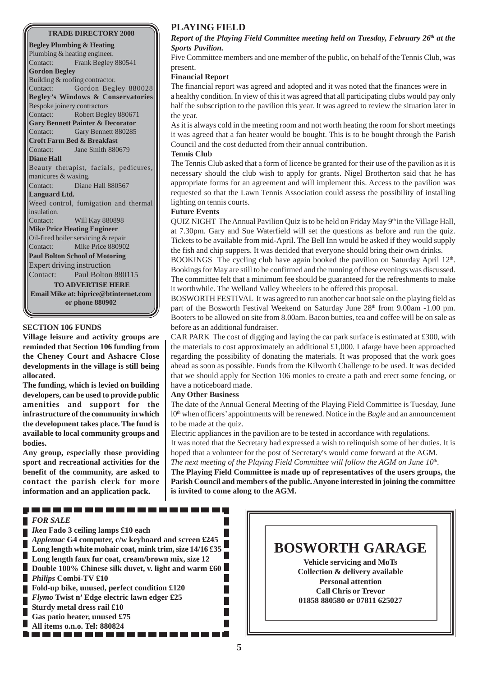#### **TRADE DIRECTORY 2008**

**Begley Plumbing & Heating** Plumbing & heating engineer. Contact: Frank Begley 880541 **Gordon Begley** Building & roofing contractor. Contact: Gordon Begley 880028 **Begley's Windows & Conservatories** Bespoke joinery contractors Contact: Robert Begley 880671 **Gary Bennett Painter & Decorator** Contact: Gary Bennett 880285 **Croft Farm Bed & Breakfast** Contact: Jane Smith 880679 **Diane Hall** Beauty therapist, facials, pedicures, manicures & waxing. Contact: Diane Hall 880567 **Languard Ltd.** Weed control, fumigation and thermal insulation. Contact: Will Kay 880898 **Mike Price Heating Engineer** Oil-fired boiler servicing & repair Contact: Mike Price 880902 **Paul Bolton School of Motoring** Expert driving instruction Contact: Paul Bolton 880115 **TO ADVERTISE HERE Email Mike at: hiprice@btinternet.com or phone 880902**

#### **SECTION 106 FUNDS**

**Village leisure and activity groups are reminded that Section 106 funding from the Cheney Court and Ashacre Close developments in the village is still being allocated.**

**The funding, which is levied on building developers, can be used to provide public amenities and support for the infrastructure of the community in which the development takes place. The fund is available to local community groups and bodies.**

**Any group, especially those providing sport and recreational activities for the benefit of the community, are asked to contact the parish clerk for more information and an application pack.**

# **PLAYING FIELD**

#### *Report of the Playing Field Committee meeting held on Tuesday, February 26th at the Sports Pavilion.*

Five Committee members and one member of the public, on behalf of the Tennis Club, was present.

#### **Financial Report**

The financial report was agreed and adopted and it was noted that the finances were in a healthy condition. In view of this it was agreed that all participating clubs would pay only half the subscription to the pavilion this year. It was agreed to review the situation later in the year.

As it is always cold in the meeting room and not worth heating the room for short meetings it was agreed that a fan heater would be bought. This is to be bought through the Parish Council and the cost deducted from their annual contribution.

#### **Tennis Club**

The Tennis Club asked that a form of licence be granted for their use of the pavilion as it is necessary should the club wish to apply for grants. Nigel Brotherton said that he has appropriate forms for an agreement and will implement this. Access to the pavilion was requested so that the Lawn Tennis Association could assess the possibility of installing lighting on tennis courts.

#### **Future Events**

QUIZ NIGHT The Annual Pavilion Quiz is to be held on Friday May  $9<sup>th</sup>$  in the Village Hall, at 7.30pm. Gary and Sue Waterfield will set the questions as before and run the quiz. Tickets to be available from mid-April. The Bell Inn would be asked if they would supply the fish and chip suppers. It was decided that everyone should bring their own drinks.

BOOKINGS The cycling club have again booked the pavilion on Saturday April 12<sup>th</sup>. Bookings for May are still to be confirmed and the running of these evenings was discussed. The committee felt that a minimum fee should be guaranteed for the refreshments to make it worthwhile. The Welland Valley Wheelers to be offered this proposal.

BOSWORTH FESTIVAL It was agreed to run another car boot sale on the playing field as part of the Bosworth Festival Weekend on Saturday June  $28<sup>th</sup>$  from 9.00am -1.00 pm. Booters to be allowed on site from 8.00am. Bacon butties, tea and coffee will be on sale as before as an additional fundraiser.

CAR PARK The cost of digging and laying the car park surface is estimated at £300, with the materials to cost approximately an additional £1,000. Lafarge have been approached regarding the possibility of donating the materials. It was proposed that the work goes ahead as soon as possible. Funds from the Kilworth Challenge to be used. It was decided that we should apply for Section 106 monies to create a path and erect some fencing, or have a noticeboard made.

#### **Any Other Business**

The date of the Annual General Meeting of the Playing Field Committee is Tuesday, June l0th when officers' appointments will be renewed. Notice in the *Bugle* and an announcement to be made at the quiz.

Electric appliances in the pavilion are to be tested in accordance with regulations. It was noted that the Secretary had expressed a wish to relinquish some of her duties. It is hoped that a volunteer for the post of Secretary's would come forward at the AGM.

*The next meeting of the Playing Field Committee will follow the AGM on June 10<sup>th</sup>.* 

**The Playing Field Committee is made up of representatives of the users groups, the Parish Council and members of the public. Anyone interested in joining the committee is invited to come along to the AGM.**

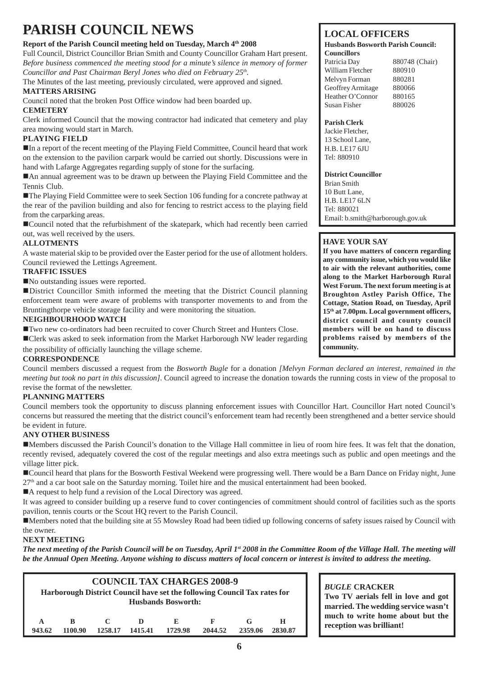# **PARISH COUNCIL NEWS**

# Report of the Parish Council meeting held on Tuesday, March 4<sup>th</sup> 2008

Full Council, District Councillor Brian Smith and County Councillor Graham Hart present. *Before business commenced the meeting stood for a minute's silence in memory of former Councillor and Past Chairman Beryl Jones who died on February 25th.*

The Minutes of the last meeting, previously circulated, were approved and signed. **MATTERS ARISING**

Council noted that the broken Post Office window had been boarded up. **CEMETERY**

Clerk informed Council that the mowing contractor had indicated that cemetery and play area mowing would start in March.

# **PLAYING FIELD**

!In a report of the recent meeting of the Playing Field Committee, Council heard that work on the extension to the pavilion carpark would be carried out shortly. Discussions were in hand with Lafarge Aggregates regarding supply of stone for the surfacing.

!An annual agreement was to be drawn up between the Playing Field Committee and the Tennis Club.

**If The Playing Field Committee were to seek Section 106 funding for a concrete pathway at** the rear of the pavilion building and also for fencing to restrict access to the playing field from the carparking areas.

!Council noted that the refurbishment of the skatepark, which had recently been carried out, was well received by the users.

# **ALLOTMENTS**

A waste material skip to be provided over the Easter period for the use of allotment holders. Council reviewed the Lettings Agreement.

# **TRAFFIC ISSUES**

■No outstanding issues were reported.

!District Councillor Smith informed the meeting that the District Council planning enforcement team were aware of problems with transporter movements to and from the Bruntingthorpe vehicle storage facility and were monitoring the situation.

# **NEIGHBOURHOOD WATCH**

!Two new co-ordinators had been recruited to cover Church Street and Hunters Close. !Clerk was asked to seek information from the Market Harborough NW leader regarding

# the possibility of officially launching the village scheme.

# **CORRESPONDENCE**

Council members discussed a request from the *Bosworth Bugle* for a donation *[Melvyn Forman declared an interest, remained in the meeting but took no part in this discussion]*. Council agreed to increase the donation towards the running costs in view of the proposal to revise the format of the newsletter.

# **PLANNING MATTERS**

Council members took the opportunity to discuss planning enforcement issues with Councillor Hart. Councillor Hart noted Council's concerns but reassured the meeting that the district council's enforcement team had recently been strengthened and a better service should be evident in future.

# **ANY OTHER BUSINESS**

!Members discussed the Parish Council's donation to the Village Hall committee in lieu of room hire fees. It was felt that the donation, recently revised, adequately covered the cost of the regular meetings and also extra meetings such as public and open meetings and the village litter pick.

!Council heard that plans for the Bosworth Festival Weekend were progressing well. There would be a Barn Dance on Friday night, June  $27<sup>th</sup>$  and a car boot sale on the Saturday morning. Toilet hire and the musical entertainment had been booked.

■A request to help fund a revision of the Local Directory was agreed.

It was agreed to consider building up a reserve fund to cover contingencies of commitment should control of facilities such as the sports pavilion, tennis courts or the Scout HQ revert to the Parish Council.

!Members noted that the building site at 55 Mowsley Road had been tidied up following concerns of safety issues raised by Council with the owner.

# **NEXT MEETING**

*The next meeting of the Parish Council will be on Tuesday, April 1<sup>st</sup> 2008 in the Committee Room of the Village Hall. The meeting will be the Annual Open Meeting. Anyone wishing to discuss matters of local concern or interest is invited to address the meeting.*

|        |         |         |         | <b>Husbands Bosworth:</b> | <b>COUNCIL TAX CHARGES 2008-9</b><br>Harborough District Council have set the following Council Tax rates for |         |         |
|--------|---------|---------|---------|---------------------------|---------------------------------------------------------------------------------------------------------------|---------|---------|
| A      | R       | 1258.17 | Ð       | Е.                        | F                                                                                                             | G       | н       |
| 943.62 | 1100.90 |         | 1415.41 | 1729.98                   | 2044.52                                                                                                       | 2359.06 | 2830.87 |

# **LOCAL OFFICERS**

#### **Husbands Bosworth Parish Council: Councillors**

Patricia Day 880748 (Chair) William Fletcher 880910 Melvyn Forman 880281 Geoffrey Armitage 880066 Heather O'Connor 880165 Susan Fisher 880026

### **Parish Clerk**

Jackie Fletcher, 13 School Lane, H.B. LE17 6JU Tel: 880910

### **District Councillor**

Brian Smith 10 Butt Lane, H.B. LE17 6LN Tel: 880021 Email: b.smith@harborough.gov.uk

# **HAVE YOUR SAY**

**If you have matters of concern regarding any community issue, which you would like to air with the relevant authorities, come along to the Market Harborough Rural West Forum. The next forum meeting is at Broughton Astley Parish Office, The Cottage, Station Road, on Tuesday, April 15th at 7.00pm. Local government officers, district council and county council members will be on hand to discuss problems raised by members of the community.**

*BUGLE* **CRACKER Two TV aerials fell in love and got married. The wedding service wasn't much to write home about but the reception was brilliant!**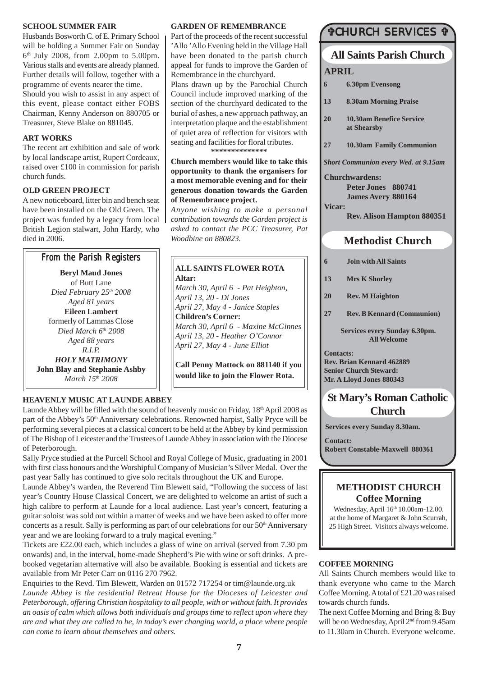#### **SCHOOL SUMMER FAIR**

Husbands Bosworth C. of E. Primary School will be holding a Summer Fair on Sunday 6th July 2008, from 2.00pm to 5.00pm. Various stalls and events are already planned. Further details will follow, together with a programme of events nearer the time.

Should you wish to assist in any aspect of this event, please contact either FOBS Chairman, Kenny Anderson on 880705 or Treasurer, Steve Blake on 881045.

# **ART WORKS**

The recent art exhibition and sale of work by local landscape artist, Rupert Cordeaux, raised over £100 in commission for parish church funds.

# **OLD GREEN PROJECT**

A new noticeboard, litter bin and bench seat have been installed on the Old Green. The project was funded by a legacy from local British Legion stalwart, John Hardy, who died in 2006.

# From the Parish Registers

**Beryl Maud Jones** of Butt Lane *Died February 25th 2008 Aged 81 years* **Eileen Lambert** formerly of Lammas Close *Died March 6th 2008 Aged 88 years R.I.P. HOLY MATRIMONY* **John Blay and Stephanie Ashby** *March 15th 2008*

# **HEAVENLY MUSIC AT LAUNDE ABBEY**

Launde Abbey will be filled with the sound of heavenly music on Friday,  $18<sup>th</sup>$  April 2008 as part of the Abbey's 50<sup>th</sup> Anniversary celebrations. Renowned harpist, Sally Pryce will be performing several pieces at a classical concert to be held at the Abbey by kind permission of The Bishop of Leicester and the Trustees of Launde Abbey in association with the Diocese of Peterborough.

Sally Pryce studied at the Purcell School and Royal College of Music, graduating in 2001 with first class honours and the Worshipful Company of Musician's Silver Medal. Over the past year Sally has continued to give solo recitals throughout the UK and Europe.

Launde Abbey's warden, the Reverend Tim Blewett said, "Following the success of last year's Country House Classical Concert, we are delighted to welcome an artist of such a high calibre to perform at Launde for a local audience. Last year's concert, featuring a guitar soloist was sold out within a matter of weeks and we have been asked to offer more concerts as a result. Sally is performing as part of our celebrations for our 50<sup>th</sup> Anniversary year and we are looking forward to a truly magical evening."

Tickets are £22.00 each, which includes a glass of wine on arrival (served from 7.30 pm onwards) and, in the interval, home-made Shepherd's Pie with wine or soft drinks. A prebooked vegetarian alternative will also be available. Booking is essential and tickets are available from Mr Peter Carr on 0116 270 7962.

Enquiries to the Revd. Tim Blewett, Warden on 01572 717254 or tim@launde.org.uk *Launde Abbey is the residential Retreat House for the Dioceses of Leicester and Peterborough, offering Christian hospitality to all people, with or without faith. It provides an oasis of calm which allows both individuals and groups time to reflect upon where they are and what they are called to be, in today's ever changing world, a place where people can come to learn about themselves and others.*

### **GARDEN OF REMEMBRANCE**

Part of the proceeds of the recent successful 'Allo 'Allo Evening held in the Village Hall have been donated to the parish church appeal for funds to improve the Garden of Remembrance in the churchyard.

Plans drawn up by the Parochial Church Council include improved marking of the section of the churchyard dedicated to the burial of ashes, a new approach pathway, an interpretation plaque and the establishment of quiet area of reflection for visitors with seating and facilities for floral tributes.

**\*\*\*\*\*\*\*\*\*\*\*\*\*\***

**Church members would like to take this opportunity to thank the organisers for a most memorable evening and for their generous donation towards the Garden of Remembrance project.**

*Anyone wishing to make a personal contribution towards the Garden project is asked to contact the PCC Treasurer, Pat Woodbine on 880823.*

#### **ALL SAINTS FLOWER ROTA Altar:**

*March 30, April 6 - Pat Heighton, April 13, 20 - Di Jones April 27, May 4 - Janice Staples* **Children's Corner:** *March 30, April 6 - Maxine McGinnes April 13, 20 - Heather O'Connor April 27, May 4 - June Elliot*

**Call Penny Mattock on 881140 if you would like to join the Flower Rota.**

# #CHURCH SERVICES #

# **All Saints Parish Church**

**APRIL**

- **6 6.30pm Evensong**
- **13 8.30am Morning Praise**
- **20 10.30am Benefice Service at Shearsby**
- **27 10.30am Family Communion**

*Short Communion every Wed. at 9.15am*

**Churchwardens:**

**Peter Jones 880741 James Avery 880164**

**Vicar:**

**Rev. Alison Hampton 880351**

# **Methodist Church**

- **6 Join with All Saints**
- **13 Mrs K Shorley**
- **20 Rev. M Haighton**
- **27 Rev. B Kennard (Communion)**

**Services every Sunday 6.30pm. All Welcome**

**Contacts: Rev. Brian Kennard 462889 Senior Church Steward: Mr. A Lloyd Jones 880343**

# **St Mary's Roman Catholic Church**

**Services every Sunday 8.30am.**

**Contact: Robert Constable-Maxwell 880361**

# **METHODIST CHURCH Coffee Morning**

Wednesday, April 16<sup>th</sup> 10.00am-12.00. at the home of Margaret & John Scurrah, 25 High Street. Visitors always welcome.

# **COFFEE MORNING**

All Saints Church members would like to thank everyone who came to the March Coffee Morning. A total of £21.20 was raised towards church funds.

The next Coffee Morning and Bring & Buy will be on Wednesday, April 2nd from 9.45am to 11.30am in Church. Everyone welcome.